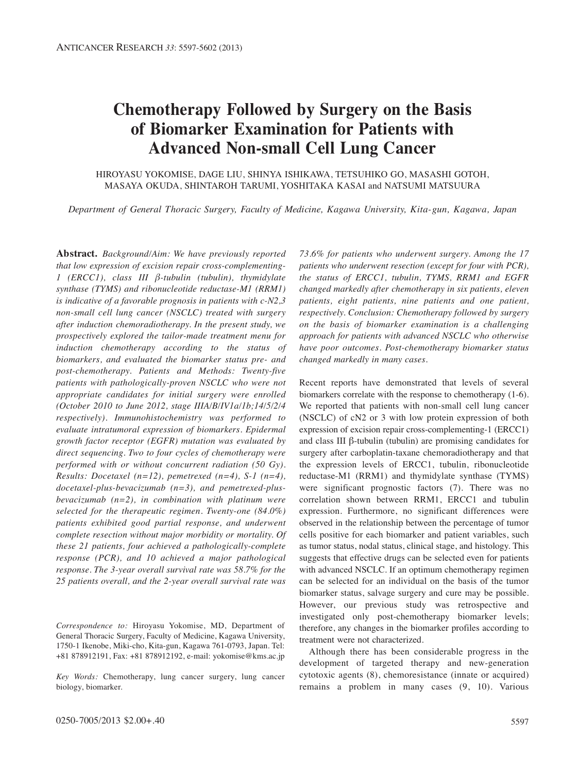# **Chemotherapy Followed by Surgery on the Basis of Biomarker Examination for Patients with Advanced Non-small Cell Lung Cancer**

HIROYASU YOKOMISE, DAGE LIU, SHINYA ISHIKAWA, TETSUHIKO GO, MASASHI GOTOH, MASAYA OKUDA, SHINTAROH TARUMI, YOSHITAKA KASAI and NATSUMI MATSUURA

*Department of General Thoracic Surgery, Faculty of Medicine, Kagawa University, Kita-gun, Kagawa, Japan*

**Abstract.** *Background/Aim: We have previously reported that low expression of excision repair cross-complementing-1 (ERCC1), class III β-tubulin (tubulin), thymidylate synthase (TYMS) and ribonucleotide reductase-M1 (RRM1) is indicative of a favorable prognosis in patients with c-N2,3 non-small cell lung cancer (NSCLC) treated with surgery after induction chemoradiotherapy. In the present study, we prospectively explored the tailor-made treatment menu for induction chemotherapy according to the status of biomarkers, and evaluated the biomarker status pre- and post-chemotherapy. Patients and Methods: Twenty-five patients with pathologically-proven NSCLC who were not appropriate candidates for initial surgery were enrolled (October 2010 to June 2012, stage IIIA/B/IV1a/1b;14/5/2/4 respectively). Immunohistochemistry was performed to evaluate intratumoral expression of biomarkers. Epidermal growth factor receptor (EGFR) mutation was evaluated by direct sequencing. Two to four cycles of chemotherapy were performed with or without concurrent radiation (50 Gy). Results: Docetaxel (n=12), pemetrexed (n=4), S-1 (n=4), docetaxel-plus-bevacizumab (n=3), and pemetrexed-plusbevacizumab (n=2), in combination with platinum were selected for the therapeutic regimen. Twenty-one (84.0%) patients exhibited good partial response, and underwent complete resection without major morbidity or mortality. Of these 21 patients, four achieved a pathologically-complete response (PCR), and 10 achieved a major pathological response. The 3-year overall survival rate was 58.7% for the 25 patients overall, and the 2-year overall survival rate was*

*Correspondence to:* Hiroyasu Yokomise, MD, Department of General Thoracic Surgery, Faculty of Medicine, Kagawa University, 1750-1 Ikenobe, Miki-cho, Kita-gun, Kagawa 761-0793, Japan. Tel: +81 878912191, Fax: +81 878912192, e-mail: yokomise@kms.ac.jp

*Key Words:* Chemotherapy, lung cancer surgery, lung cancer biology, biomarker.

*73.6% for patients who underwent surgery. Among the 17 patients who underwent resection (except for four with PCR), the status of ERCC1, tubulin, TYMS, RRM1 and EGFR changed markedly after chemotherapy in six patients, eleven patients, eight patients, nine patients and one patient, respectively. Conclusion: Chemotherapy followed by surgery on the basis of biomarker examination is a challenging approach for patients with advanced NSCLC who otherwise have poor outcomes. Post-chemotherapy biomarker status changed markedly in many cases.*

Recent reports have demonstrated that levels of several biomarkers correlate with the response to chemotherapy (1-6). We reported that patients with non-small cell lung cancer (NSCLC) of cN2 or 3 with low protein expression of both expression of excision repair cross-complementing-1 (ERCC1) and class III β-tubulin (tubulin) are promising candidates for surgery after carboplatin-taxane chemoradiotherapy and that the expression levels of ERCC1, tubulin, ribonucleotide reductase-M1 (RRM1) and thymidylate synthase (TYMS) were significant prognostic factors (7). There was no correlation shown between RRM1, ERCC1 and tubulin expression. Furthermore, no significant differences were observed in the relationship between the percentage of tumor cells positive for each biomarker and patient variables, such as tumor status, nodal status, clinical stage, and histology. This suggests that effective drugs can be selected even for patients with advanced NSCLC. If an optimum chemotherapy regimen can be selected for an individual on the basis of the tumor biomarker status, salvage surgery and cure may be possible. However, our previous study was retrospective and investigated only post-chemotherapy biomarker levels; therefore, any changes in the biomarker profiles according to treatment were not characterized.

Although there has been considerable progress in the development of targeted therapy and new-generation cytotoxic agents (8), chemoresistance (innate or acquired) remains a problem in many cases (9, 10). Various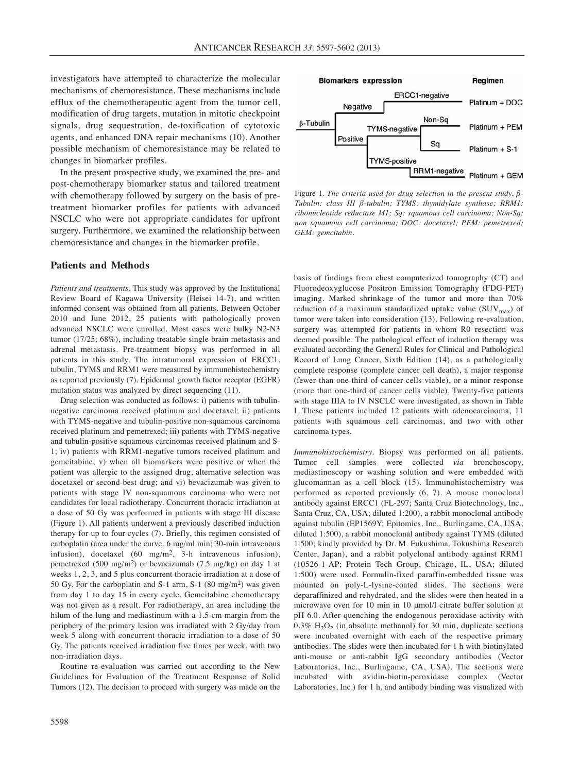investigators have attempted to characterize the molecular mechanisms of chemoresistance. These mechanisms include efflux of the chemotherapeutic agent from the tumor cell, modification of drug targets, mutation in mitotic checkpoint signals, drug sequestration, de-toxification of cytotoxic agents, and enhanced DNA repair mechanisms (10). Another possible mechanism of chemoresistance may be related to changes in biomarker profiles.

In the present prospective study, we examined the pre- and post-chemotherapy biomarker status and tailored treatment with chemotherapy followed by surgery on the basis of pretreatment biomarker profiles for patients with advanced NSCLC who were not appropriate candidates for upfront surgery. Furthermore, we examined the relationship between chemoresistance and changes in the biomarker profile.

# **Patients and Methods**

*Patients and treatments.* This study was approved by the Institutional Review Board of Kagawa University (Heisei 14-7), and written informed consent was obtained from all patients. Between October 2010 and June 2012, 25 patients with pathologically proven advanced NSCLC were enrolled. Most cases were bulky N2-N3 tumor (17/25; 68%), including treatable single brain metastasis and adrenal metastasis. Pre-treatment biopsy was performed in all patients in this study. The intratumoral expression of ERCC1, tubulin, TYMS and RRM1 were measured by immunohistochemistry as reported previously (7). Epidermal growth factor receptor (EGFR) mutation status was analyzed by direct sequencing (11).

Drug selection was conducted as follows: i) patients with tubulinnegative carcinoma received platinum and docetaxel; ii) patients with TYMS-negative and tubulin-positive non-squamous carcinoma received platinum and pemetrexed; iii) patients with TYMS-negative and tubulin-positive squamous carcinomas received platinum and S-1; iv) patients with RRM1-negative tumors received platinum and gemcitabine; v) when all biomarkers were positive or when the patient was allergic to the assigned drug, alternative selection was docetaxel or second-best drug; and vi) bevacizumab was given to patients with stage IV non-squamous carcinoma who were not candidates for local radiotherapy. Concurrent thoracic irradiation at a dose of 50 Gy was performed in patients with stage III disease (Figure 1). All patients underwent a previously described induction therapy for up to four cycles (7). Briefly, this regimen consisted of carboplatin (area under the curve, 6 mg/ml min; 30-min intravenous infusion), docetaxel (60 mg/m2, 3-h intravenous infusion), pemetrexed (500 mg/m2) or bevacizumab (7.5 mg/kg) on day 1 at weeks 1, 2, 3, and 5 plus concurrent thoracic irradiation at a dose of 50 Gy. For the carboplatin and S-1 arm, S-1 (80 mg/m2) was given from day 1 to day 15 in every cycle, Gemcitabine chemotherapy was not given as a result. For radiotherapy, an area including the hilum of the lung and mediastinum with a 1.5-cm margin from the periphery of the primary lesion was irradiated with 2 Gy/day from week 5 along with concurrent thoracic irradiation to a dose of 50 Gy. The patients received irradiation five times per week, with two non-irradiation days.

Routine re-evaluation was carried out according to the New Guidelines for Evaluation of the Treatment Response of Solid Tumors (12). The decision to proceed with surgery was made on the



Figure 1. *The criteria used for drug selection in the present study. β-Tubulin: class III β-tubulin; TYMS: thymidylate synthase; RRM1: ribonucleotide reductase M1; Sq: squamous cell carcinoma; Non-Sq: non squamous cell carcinoma; DOC: docetaxel; PEM: pemetrexed; GEM: gemcitabin.*

basis of findings from chest computerized tomography (CT) and Fluorodeoxyglucose Positron Emission Tomography (FDG-PET) imaging. Marked shrinkage of the tumor and more than 70% reduction of a maximum standardized uptake value  $(SUV_{\text{max}})$  of tumor were taken into consideration (13). Following re-evaluation, surgery was attempted for patients in whom R0 resection was deemed possible. The pathological effect of induction therapy was evaluated according the General Rules for Clinical and Pathological Record of Lung Cancer, Sixth Edition (14), as a pathologically complete response (complete cancer cell death), a major response (fewer than one-third of cancer cells viable), or a minor response (more than one-third of cancer cells viable). Twenty-five patients with stage IIIA to IV NSCLC were investigated, as shown in Table I. These patients included 12 patients with adenocarcinoma, 11 patients with squamous cell carcinomas, and two with other carcinoma types.

*Immunohistochemistry.* Biopsy was performed on all patients. Tumor cell samples were collected *via* bronchoscopy, mediastinoscopy or washing solution and were embedded with glucomannan as a cell block (15). Immunohistochemistry was performed as reported previously (6, 7). A mouse monoclonal antibody against ERCC1 (FL-297; Santa Cruz Biotechnology, Inc., Santa Cruz, CA, USA; diluted 1:200), a rabbit monoclonal antibody against tubulin (EP1569Y; Epitomics, Inc., Burlingame, CA, USA; diluted 1:500), a rabbit monoclonal antibody against TYMS (diluted 1:500; kindly provided by Dr. M. Fukushima, Tokushima Research Center, Japan), and a rabbit polyclonal antibody against RRM1 (10526-1-AP; Protein Tech Group, Chicago, IL, USA; diluted 1:500) were used. Formalin-fixed paraffin-embedded tissue was mounted on poly-L-lysine-coated slides. The sections were deparaffinized and rehydrated, and the slides were then heated in a microwave oven for 10 min in 10 μmol/l citrate buffer solution at pH 6.0. After quenching the endogenous peroxidase activity with 0.3%  $H_2O_2$  (in absolute methanol) for 30 min, duplicate sections were incubated overnight with each of the respective primary antibodies. The slides were then incubated for 1 h with biotinylated anti-mouse or anti-rabbit IgG secondary antibodies (Vector Laboratories, Inc., Burlingame, CA, USA). The sections were incubated with avidin-biotin-peroxidase complex (Vector Laboratories, Inc.) for 1 h, and antibody binding was visualized with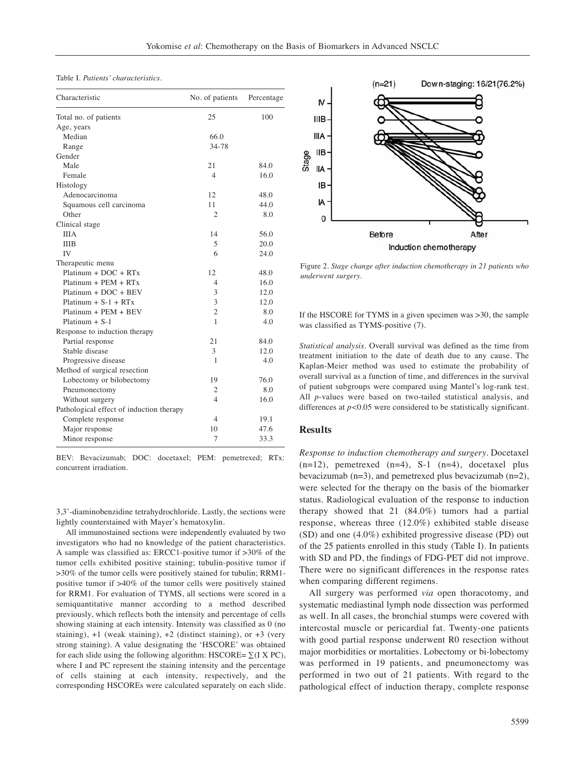Table I. *Patients' characteristics.*

| Characteristic                           | No. of patients | Percentage |
|------------------------------------------|-----------------|------------|
| Total no. of patients                    | 25              | 100        |
| Age, years                               |                 |            |
| Median                                   | 66.0            |            |
| Range                                    | 34-78           |            |
| Gender                                   |                 |            |
| Male                                     | 21              | 84.0       |
| Female                                   | $\overline{4}$  | 16.0       |
| Histology                                |                 |            |
| Adenocarcinoma                           | 12              | 48.0       |
| Squamous cell carcinoma                  | 11              | 44.0       |
| Other                                    | $\overline{c}$  | 8.0        |
| Clinical stage                           |                 |            |
| <b>IIIA</b>                              | 14              | 56.0       |
| <b>IIIB</b>                              | 5               | 20.0       |
| IV                                       | 6               | 24.0       |
| Therapeutic menu                         |                 |            |
| $Platinum + DOC + RTx$                   | 12              | 48.0       |
| $Platinum + PEN + RTx$                   | 4               | 16.0       |
| $Platinum + DOC + BEV$                   | 3               | 12.0       |
| $Platinum + S-1 + RTx$                   | 3               | 12.0       |
| Platinum + PEM + BEV                     | $\overline{2}$  | 8.0        |
| Platinum $+ S-1$                         | 1               | 4.0        |
| Response to induction therapy            |                 |            |
| Partial response                         | 21              | 84.0       |
| Stable disease                           | 3               | 12.0       |
| Progressive disease                      | 1               | 4.0        |
| Method of surgical resection             |                 |            |
| Lobectomy or bilobectomy                 | 19              | 76.0       |
| Pneumonectomy                            | 2               | 8.0        |
| Without surgery                          | 4               | 16.0       |
| Pathological effect of induction therapy |                 |            |
| Complete response                        | 4               | 19.1       |
| Major response                           | 10              | 47.6       |
| Minor response                           | 7               | 33.3       |

BEV: Bevacizumab; DOC: docetaxel; PEM: pemetrexed; RTx: concurrent irradiation.

3,3'-diaminobenzidine tetrahydrochloride. Lastly, the sections were lightly counterstained with Mayer's hematoxylin.

All immunostained sections were independently evaluated by two investigators who had no knowledge of the patient characteristics. A sample was classified as: ERCC1-positive tumor if >30% of the tumor cells exhibited positive staining; tubulin-positive tumor if >30% of the tumor cells were positively stained for tubulin; RRM1 positive tumor if >40% of the tumor cells were positively stained for RRM1. For evaluation of TYMS, all sections were scored in a semiquantitative manner according to a method described previously, which reflects both the intensity and percentage of cells showing staining at each intensity. Intensity was classified as 0 (no staining), +1 (weak staining), +2 (distinct staining), or +3 (very strong staining). A value designating the 'HSCORE' was obtained for each slide using the following algorithm: HSCORE=  $\Sigma$ (I X PC), where I and PC represent the staining intensity and the percentage of cells staining at each intensity, respectively, and the corresponding HSCOREs were calculated separately on each slide.



Figure 2. *Stage change after induction chemotherapy in 21 patients who underwent surgery.*

If the HSCORE for TYMS in a given specimen was >30, the sample was classified as TYMS-positive (7).

*Statistical analysis*. Overall survival was defined as the time from treatment initiation to the date of death due to any cause. The Kaplan-Meier method was used to estimate the probability of overall survival as a function of time, and differences in the survival of patient subgroups were compared using Mantel's log-rank test. All *p*-values were based on two-tailed statistical analysis, and differences at *p<*0.05 were considered to be statistically significant.

#### **Results**

*Response to induction chemotherapy and surgery.* Docetaxel  $(n=12)$ , pemetrexed  $(n=4)$ , S-1  $(n=4)$ , docetaxel plus bevacizumab (n=3), and pemetrexed plus bevacizumab (n=2), were selected for the therapy on the basis of the biomarker status. Radiological evaluation of the response to induction therapy showed that 21 (84.0%) tumors had a partial response, whereas three (12.0%) exhibited stable disease (SD) and one (4.0%) exhibited progressive disease (PD) out of the 25 patients enrolled in this study (Table I). In patients with SD and PD, the findings of FDG-PET did not improve. There were no significant differences in the response rates when comparing different regimens.

All surgery was performed *via* open thoracotomy, and systematic mediastinal lymph node dissection was performed as well. In all cases, the bronchial stumps were covered with intercostal muscle or pericardial fat. Twenty-one patients with good partial response underwent R0 resection without major morbidities or mortalities. Lobectomy or bi-lobectomy was performed in 19 patients, and pneumonectomy was performed in two out of 21 patients. With regard to the pathological effect of induction therapy, complete response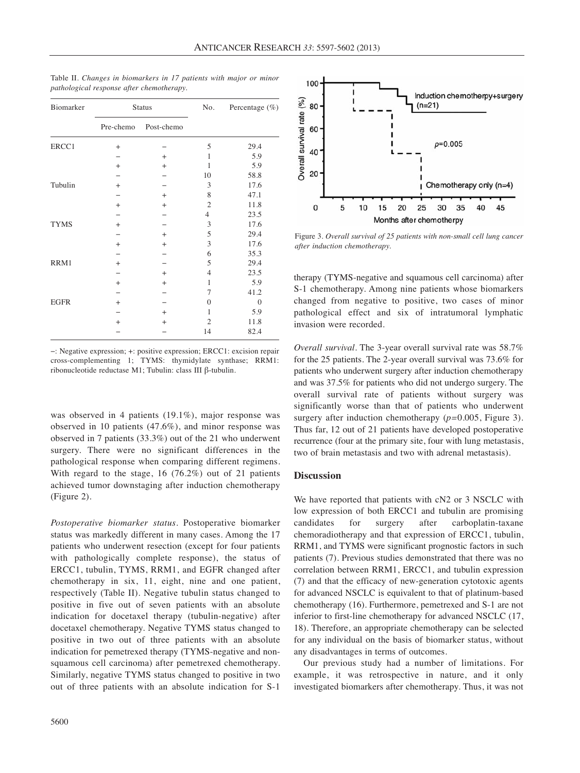| Biomarker   | <b>Status</b> |            | No.              | Percentage (%) |
|-------------|---------------|------------|------------------|----------------|
|             | Pre-chemo     | Post-chemo |                  |                |
| ERCC1       | $\! +$        |            | 5                | 29.4           |
|             |               | $^{+}$     | 1                | 5.9            |
|             | $+$           | $^{+}$     | 1                | 5.9            |
|             |               |            | 10               | 58.8           |
| Tubulin     | $\! +$        |            | 3                | 17.6           |
|             |               | $^{+}$     | 8                | 47.1           |
|             | $\! +$        | $^{+}$     | $\mathfrak{2}$   | 11.8           |
|             |               |            | 4                | 23.5           |
| <b>TYMS</b> | $\! +$        |            | 3                | 17.6           |
|             |               | $^{+}$     | 5                | 29.4           |
|             | $\! +$        | $^{+}$     | 3                | 17.6           |
|             |               |            | 6                | 35.3           |
| RRM1        | $^{+}$        |            | 5                | 29.4           |
|             |               | $^{+}$     | 4                | 23.5           |
|             | $^{+}$        | $^{+}$     | 1                | 5.9            |
|             |               |            | 7                | 41.2           |
| <b>EGFR</b> | $^{+}$        |            | $\boldsymbol{0}$ | $\mathbf{0}$   |
|             |               | $^{+}$     | 1                | 5.9            |
|             | $+$           | $^{+}$     | $\overline{c}$   | 11.8           |
|             |               |            | 14               | 82.4           |
|             |               |            |                  |                |

Table II. *Changes in biomarkers in 17 patients with major or minor pathological response after chemotherapy.*

−: Negative expression; +: positive expression; ERCC1: excision repair cross-complementing 1; TYMS: thymidylate synthase; RRM1: ribonucleotide reductase M1; Tubulin: class III β-tubulin.

was observed in 4 patients (19.1%), major response was observed in 10 patients (47.6%), and minor response was observed in 7 patients (33.3%) out of the 21 who underwent surgery. There were no significant differences in the pathological response when comparing different regimens. With regard to the stage, 16 (76.2%) out of 21 patients achieved tumor downstaging after induction chemotherapy (Figure 2).

*Postoperative biomarker status.* Postoperative biomarker status was markedly different in many cases. Among the 17 patients who underwent resection (except for four patients with pathologically complete response), the status of ERCC1, tubulin, TYMS, RRM1, and EGFR changed after chemotherapy in six, 11, eight, nine and one patient, respectively (Table II). Negative tubulin status changed to positive in five out of seven patients with an absolute indication for docetaxel therapy (tubulin-negative) after docetaxel chemotherapy. Negative TYMS status changed to positive in two out of three patients with an absolute indication for pemetrexed therapy (TYMS-negative and nonsquamous cell carcinoma) after pemetrexed chemotherapy. Similarly, negative TYMS status changed to positive in two out of three patients with an absolute indication for S-1



Figure 3. *Overall survival of 25 patients with non-small cell lung cancer after induction chemotherapy.*

therapy (TYMS-negative and squamous cell carcinoma) after S-1 chemotherapy. Among nine patients whose biomarkers changed from negative to positive, two cases of minor pathological effect and six of intratumoral lymphatic invasion were recorded.

*Overall survival.* The 3-year overall survival rate was 58.7% for the 25 patients. The 2-year overall survival was 73.6% for patients who underwent surgery after induction chemotherapy and was 37.5% for patients who did not undergo surgery. The overall survival rate of patients without surgery was significantly worse than that of patients who underwent surgery after induction chemotherapy (*p=*0.005, Figure 3). Thus far, 12 out of 21 patients have developed postoperative recurrence (four at the primary site, four with lung metastasis, two of brain metastasis and two with adrenal metastasis).

# **Discussion**

We have reported that patients with cN2 or 3 NSCLC with low expression of both ERCC1 and tubulin are promising candidates for surgery after carboplatin-taxane chemoradiotherapy and that expression of ERCC1, tubulin, RRM1, and TYMS were significant prognostic factors in such patients (7). Previous studies demonstrated that there was no correlation between RRM1, ERCC1, and tubulin expression (7) and that the efficacy of new-generation cytotoxic agents for advanced NSCLC is equivalent to that of platinum-based chemotherapy (16). Furthermore, pemetrexed and S-1 are not inferior to first-line chemotherapy for advanced NSCLC (17, 18). Therefore, an appropriate chemotherapy can be selected for any individual on the basis of biomarker status, without any disadvantages in terms of outcomes.

Our previous study had a number of limitations. For example, it was retrospective in nature, and it only investigated biomarkers after chemotherapy. Thus, it was not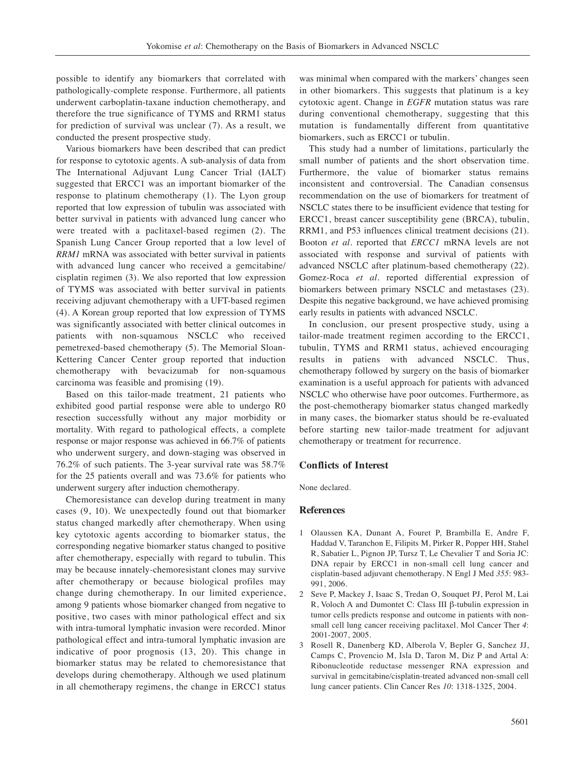possible to identify any biomarkers that correlated with pathologically-complete response. Furthermore, all patients underwent carboplatin-taxane induction chemotherapy, and therefore the true significance of TYMS and RRM1 status for prediction of survival was unclear (7). As a result, we conducted the present prospective study.

Various biomarkers have been described that can predict for response to cytotoxic agents. A sub-analysis of data from The International Adjuvant Lung Cancer Trial (IALT) suggested that ERCC1 was an important biomarker of the response to platinum chemotherapy (1). The Lyon group reported that low expression of tubulin was associated with better survival in patients with advanced lung cancer who were treated with a paclitaxel-based regimen (2). The Spanish Lung Cancer Group reported that a low level of *RRM1* mRNA was associated with better survival in patients with advanced lung cancer who received a gemcitabine/ cisplatin regimen (3). We also reported that low expression of TYMS was associated with better survival in patients receiving adjuvant chemotherapy with a UFT-based regimen (4). A Korean group reported that low expression of TYMS was significantly associated with better clinical outcomes in patients with non-squamous NSCLC who received pemetrexed-based chemotherapy (5). The Memorial Sloan-Kettering Cancer Center group reported that induction chemotherapy with bevacizumab for non-squamous carcinoma was feasible and promising (19).

Based on this tailor-made treatment, 21 patients who exhibited good partial response were able to undergo R0 resection successfully without any major morbidity or mortality. With regard to pathological effects, a complete response or major response was achieved in 66.7% of patients who underwent surgery, and down-staging was observed in 76.2% of such patients. The 3-year survival rate was 58.7% for the 25 patients overall and was 73.6% for patients who underwent surgery after induction chemotherapy.

Chemoresistance can develop during treatment in many cases (9, 10). We unexpectedly found out that biomarker status changed markedly after chemotherapy. When using key cytotoxic agents according to biomarker status, the corresponding negative biomarker status changed to positive after chemotherapy, especially with regard to tubulin. This may be because innately-chemoresistant clones may survive after chemotherapy or because biological profiles may change during chemotherapy. In our limited experience, among 9 patients whose biomarker changed from negative to positive, two cases with minor pathological effect and six with intra-tumoral lymphatic invasion were recorded. Minor pathological effect and intra-tumoral lymphatic invasion are indicative of poor prognosis (13, 20). This change in biomarker status may be related to chemoresistance that develops during chemotherapy. Although we used platinum in all chemotherapy regimens, the change in ERCC1 status was minimal when compared with the markers' changes seen in other biomarkers. This suggests that platinum is a key cytotoxic agent. Change in *EGFR* mutation status was rare during conventional chemotherapy, suggesting that this mutation is fundamentally different from quantitative biomarkers, such as ERCC1 or tubulin.

This study had a number of limitations, particularly the small number of patients and the short observation time. Furthermore, the value of biomarker status remains inconsistent and controversial. The Canadian consensus recommendation on the use of biomarkers for treatment of NSCLC states there to be insufficient evidence that testing for ERCC1, breast cancer susceptibility gene (BRCA), tubulin, RRM1, and P53 influences clinical treatment decisions (21). Booton *et al.* reported that *ERCC1* mRNA levels are not associated with response and survival of patients with advanced NSCLC after platinum-based chemotherapy (22). Gomez-Roca *et al.* reported differential expression of biomarkers between primary NSCLC and metastases (23). Despite this negative background, we have achieved promising early results in patients with advanced NSCLC.

In conclusion, our present prospective study, using a tailor-made treatment regimen according to the ERCC1, tubulin, TYMS and RRM1 status, achieved encouraging results in patiens with advanced NSCLC. Thus, chemotherapy followed by surgery on the basis of biomarker examination is a useful approach for patients with advanced NSCLC who otherwise have poor outcomes. Furthermore, as the post-chemotherapy biomarker status changed markedly in many cases, the biomarker status should be re-evaluated before starting new tailor-made treatment for adjuvant chemotherapy or treatment for recurrence.

# **Conflicts of Interest**

None declared.

# **References**

- 1 Olaussen KA, Dunant A, Fouret P, Brambilla E, Andre F, Haddad V, Taranchon E, Filipits M, Pirker R, Popper HH, Stahel R, Sabatier L, Pignon JP, Tursz T, Le Chevalier T and Soria JC: DNA repair by ERCC1 in non-small cell lung cancer and cisplatin-based adjuvant chemotherapy. N Engl J Med *355*: 983- 991, 2006.
- 2 Seve P, Mackey J, Isaac S, Tredan O, Souquet PJ, Perol M, Lai R, Voloch A and Dumontet C: Class III β-tubulin expression in tumor cells predicts response and outcome in patients with nonsmall cell lung cancer receiving paclitaxel. Mol Cancer Ther *4*: 2001-2007, 2005.
- 3 Rosell R, Danenberg KD, Alberola V, Bepler G, Sanchez JJ, Camps C, Provencio M, Isla D, Taron M, Diz P and Artal A: Ribonucleotide reductase messenger RNA expression and survival in gemcitabine/cisplatin-treated advanced non-small cell lung cancer patients. Clin Cancer Res *10*: 1318-1325, 2004.